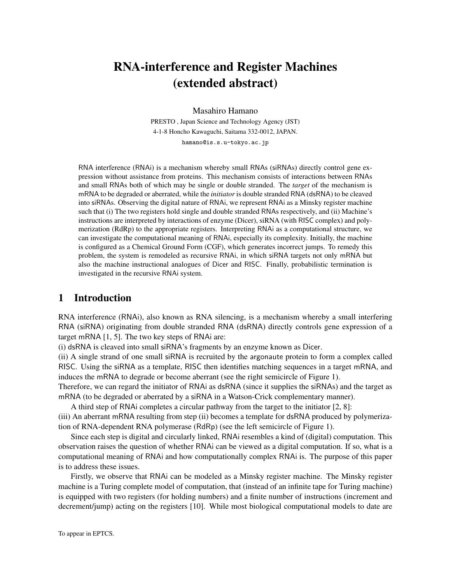# RNA-interference and Register Machines (extended abstract)

Masahiro Hamano

PRESTO , Japan Science and Technology Agency (JST) 4-1-8 Honcho Kawaguchi, Saitama 332-0012, JAPAN. hamano@is.s.u-tokyo.ac.jp

RNA interference (RNAi) is a mechanism whereby small RNAs (siRNAs) directly control gene expression without assistance from proteins. This mechanism consists of interactions between RNAs and small RNAs both of which may be single or double stranded. The *target* of the mechanism is mRNA to be degraded or aberrated, while the *initiator* is double stranded RNA (dsRNA) to be cleaved into siRNAs. Observing the digital nature of RNAi, we represent RNAi as a Minsky register machine such that (i) The two registers hold single and double stranded RNAs respectively, and (ii) Machine's instructions are interpreted by interactions of enzyme (Dicer), siRNA (with RISC complex) and polymerization (RdRp) to the appropriate registers. Interpreting RNAi as a computational structure, we can investigate the computational meaning of RNAi, especially its complexity. Initially, the machine is configured as a Chemical Ground Form (CGF), which generates incorrect jumps. To remedy this problem, the system is remodeled as recursive RNAi, in which siRNA targets not only mRNA but also the machine instructional analogues of Dicer and RISC. Finally, probabilistic termination is investigated in the recursive RNAi system.

# 1 Introduction

RNA interference (RNAi), also known as RNA silencing, is a mechanism whereby a small interfering RNA (siRNA) originating from double stranded RNA (dsRNA) directly controls gene expression of a target mRNA [1, 5]. The two key steps of RNAi are:

(i) dsRNA is cleaved into small siRNA's fragments by an enzyme known as Dicer.

(ii) A single strand of one small siRNA is recruited by the argonaute protein to form a complex called RISC. Using the siRNA as a template, RISC then identifies matching sequences in a target mRNA, and induces the mRNA to degrade or become aberrant (see the right semicircle of Figure 1).

Therefore, we can regard the initiator of RNAi as dsRNA (since it supplies the siRNAs) and the target as mRNA (to be degraded or aberrated by a siRNA in a Watson-Crick complementary manner).

A third step of RNAi completes a circular pathway from the target to the initiator [2, 8]: (iii) An aberrant mRNA resulting from step (ii) becomes a template for dsRNA produced by polymeriza-

tion of RNA-dependent RNA polymerase (RdRp) (see the left semicircle of Figure 1).

Since each step is digital and circularly linked, RNAi resembles a kind of (digital) computation. This observation raises the question of whether RNAi can be viewed as a digital computation. If so, what is a computational meaning of RNAi and how computationally complex RNAi is. The purpose of this paper is to address these issues.

Firstly, we observe that RNAi can be modeled as a Minsky register machine. The Minsky register machine is a Turing complete model of computation, that (instead of an infinite tape for Turing machine) is equipped with two registers (for holding numbers) and a finite number of instructions (increment and decrement/jump) acting on the registers [10]. While most biological computational models to date are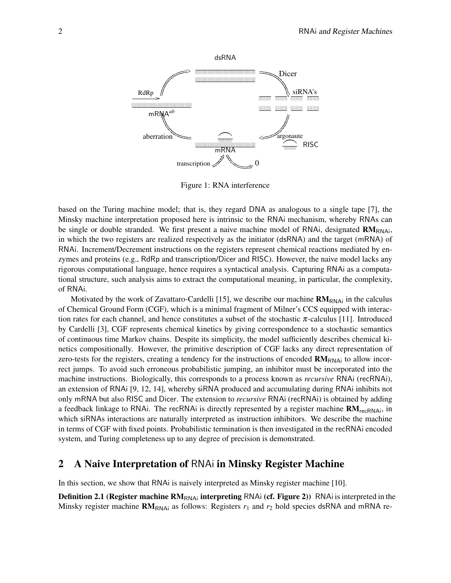

Figure 1: RNA interference

based on the Turing machine model; that is, they regard DNA as analogous to a single tape [7], the Minsky machine interpretation proposed here is intrinsic to the RNAi mechanism, whereby RNAs can be single or double stranded. We first present a naive machine model of RNAi, designated  $RM<sub>RNAi</sub>$ , in which the two registers are realized respectively as the initiator (dsRNA) and the target (mRNA) of RNAi. Increment/Decrement instructions on the registers represent chemical reactions mediated by enzymes and proteins (e.g., RdRp and transcription/Dicer and RISC). However, the naive model lacks any rigorous computational language, hence requires a syntactical analysis. Capturing RNAi as a computational structure, such analysis aims to extract the computational meaning, in particular, the complexity, of RNAi.

Motivated by the work of Zavattaro-Cardelli [15], we describe our machine  $RM<sub>RNAi</sub>$  in the calculus of Chemical Ground Form (CGF), which is a minimal fragment of Milner's CCS equipped with interaction rates for each channel, and hence constitutes a subset of the stochastic  $\pi$ -calculus [11]. Introduced by Cardelli [3], CGF represents chemical kinetics by giving correspondence to a stochastic semantics of continuous time Markov chains. Despite its simplicity, the model sufficiently describes chemical kinetics compositionally. However, the primitive description of CGF lacks any direct representation of zero-tests for the registers, creating a tendency for the instructions of encoded  $\mathbf{R}\mathbf{M}_{\text{RNA}}$  to allow incorrect jumps. To avoid such erroneous probabilistic jumping, an inhibitor must be incorporated into the machine instructions. Biologically, this corresponds to a process known as *recursive* RNAi (recRNAi), an extension of RNAi [9, 12, 14], whereby siRNA produced and accumulating during RNAi inhibits not only mRNA but also RISC and Dicer. The extension to *recursive* RNAi (recRNAi) is obtained by adding a feedback linkage to RNAi. The recRNAi is directly represented by a register machine  $RM_{recRNAi}$ , in which siRNAs interactions are naturally interpreted as instruction inhibitors. We describe the machine in terms of CGF with fixed points. Probabilistic termination is then investigated in the recRNAi encoded system, and Turing completeness up to any degree of precision is demonstrated.

# 2 A Naive Interpretation of RNAi in Minsky Register Machine

In this section, we show that RNAi is naively interpreted as Minsky register machine [10].

**Definition 2.1 (Register machine RM**<sub>RNAi</sub> interpreting RNAi (cf. Figure 2)) RNAi is interpreted in the Minsky register machine  $RM_{RNAi}$  as follows: Registers  $r_1$  and  $r_2$  hold species dsRNA and mRNA re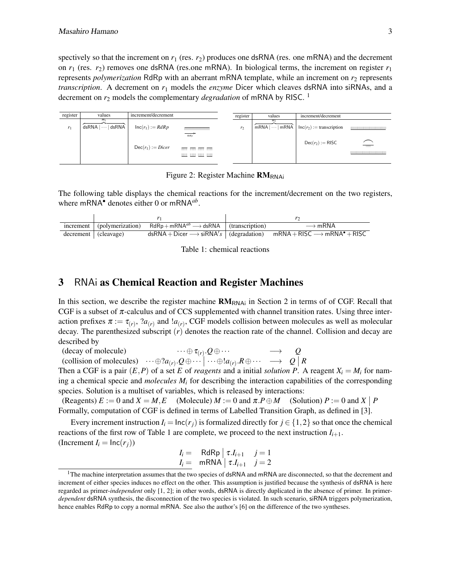spectively so that the increment on  $r_1$  (res.  $r_2$ ) produces one dsRNA (res. one mRNA) and the decrement on  $r_1$  (res.  $r_2$ ) removes one dsRNA (res.one mRNA). In biological terms, the increment on register  $r_1$ represents *polymerization* RdRp with an aberrant mRNA template, while an increment on  $r_2$  represents *transcription*. A decrement on *r*<sup>1</sup> models the *enzyme* Dicer which cleaves dsRNA into siRNAs, and a decrement on *r*<sup>2</sup> models the complementary *degradation* of mRNA by RISC. 1



Figure 2: Register Machine  $RM_{RNAi}$ 

The following table displays the chemical reactions for the increment/decrement on the two registers, where mRNA*•* denotes either 0 or mRNA*ab* .

|                      | increment   (polymerization) $RdRp + mRNA^{ab} \longrightarrow dsRNA$   (transcription) | $\longrightarrow$ mRNA                                                                                                          |
|----------------------|-----------------------------------------------------------------------------------------|---------------------------------------------------------------------------------------------------------------------------------|
| decrement (cleavage) |                                                                                         | $dsRNA + Dicer \longrightarrow siRNA's$ (degradation) mRNA + RISC $\longrightarrow$ mRNA <sup><math>\bullet</math></sup> + RISC |



# 3 RNAi as Chemical Reaction and Register Machines

In this section, we describe the register machine  $RM_{RNAi}$  in Section 2 in terms of of CGF. Recall that CGF is a subset of  $\pi$ -calculus and of CCS supplemented with channel transition rates. Using three interaction prefixes  $\pi := \tau_{(r)}$ ,  $2a_{(r)}$  and  $1a_{(r)}$ , CGF models collision between molecules as well as molecular decay. The parenthesized subscript (*r*) denotes the reaction rate of the channel. Collision and decay are described by

(decay of molecule)  $\cdots \oplus \tau_{(r)} Q \oplus \cdots \longrightarrow Q$ (collision of molecules)  $\cdots \oplus ?a_{(r)} \cdot Q \oplus \cdots \mid \cdots \oplus !a_{(r)} \cdot R \oplus \cdots \longrightarrow Q \mid R$ 

Then a CGF is a pair  $(E, P)$  of a set *E* of *reagents* and a initial *solution* P. A reagent  $X_i = M_i$  for naming a chemical specie and *molecules*  $M_i$  for describing the interaction capabilities of the corresponding species. Solution is a multiset of variables, which is released by interactions:

(Reagents)  $E := 0$  and  $X = M, E$  (Molecule)  $M := 0$  and  $\pi P \oplus M$  (Solution)  $P := 0$  and  $X | P$ Formally, computation of CGF is defined in terms of Labelled Transition Graph, as defined in [3].

Every increment instruction  $I_i = \text{Inc}(r_i)$  is formalized directly for  $j \in \{1, 2\}$  so that once the chemical reactions of the first row of Table 1 are complete, we proceed to the next instruction  $I_{i+1}$ . (Increment  $I_i = \ln(c(r_i))$ )

$$
I_i = \nRdRp \mid \tau.I_{i+1} \quad j=1
$$
  

$$
I_i = \nRNA \mid \tau.I_{i+1} \quad j=2
$$

<sup>&</sup>lt;sup>1</sup>The machine interpretation assumes that the two species of dsRNA and mRNA are disconnected, so that the decrement and increment of either species induces no effect on the other. This assumption is justified because the synthesis of dsRNA is here regarded as primer-*independent* only [1, 2]; in other words, dsRNA is directly duplicated in the absence of primer. In primer*dependent* dsRNA synthesis, the disconnection of the two species is violated. In such scenario, siRNA triggers polymerization, hence enables RdRp to copy a normal mRNA. See also the author's [6] on the difference of the two syntheses.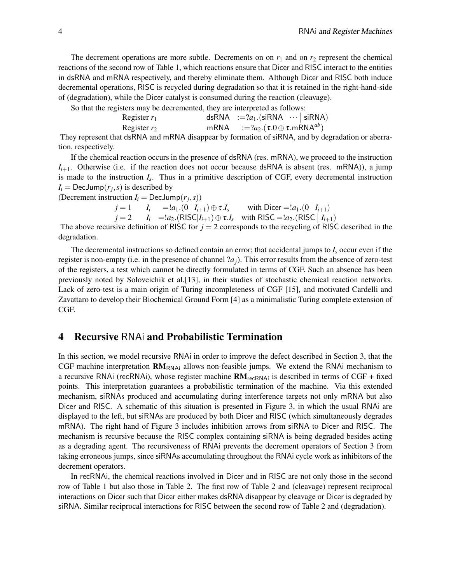The decrement operations are more subtle. Decrements on on  $r_1$  and on  $r_2$  represent the chemical reactions of the second row of Table 1, which reactions ensure that Dicer and RISC interact to the entities in dsRNA and mRNA respectively, and thereby eliminate them. Although Dicer and RISC both induce decremental operations, RISC is recycled during degradation so that it is retained in the right-hand-side of (degradation), while the Dicer catalyst is consumed during the reaction (cleavage).

So that the registers may be decremented, they are interpreted as follows:

| ___<br>Register $r_1$ | dsRNA $:=$ ? $a_1$ .(siRNA $ \cdots $ siRNA)        |  |
|-----------------------|-----------------------------------------------------|--|
| Register $r_2$        | mRNA $:=$ $?a_2.(\tau.0 \oplus \tau.$ mRNA $^{ab})$ |  |
|                       |                                                     |  |

They represent that dsRNA and mRNA disappear by formation of siRNA, and by degradation or aberration, respectively.

If the chemical reaction occurs in the presence of dsRNA (res. mRNA), we proceed to the instruction  $I_{i+1}$ . Otherwise (i.e. if the reaction does not occur because dsRNA is absent (res. mRNA)), a jump is made to the instruction *I<sup>s</sup>* . Thus in a primitive description of CGF, every decremental instruction  $I_i = \text{DecJump}(r_j, s)$  is described by

(Decrement instruction  $I_i = \text{DecJump}(r_j, s)$ )

$$
j = 1 \t I_i =!a_1.(0 | I_{i+1}) \oplus \tau.I_s \t with \text{ Dicer} =!a_1.(0 | I_{i+1})
$$
  
\n
$$
j = 2 \t I_i =!a_2.(RISC|I_{i+1}) \oplus \tau.I_s \t with \text{ RISC} =!a_2.(RISC | I_{i+1})
$$

The above recursive definition of RISC for  $j = 2$  corresponds to the recycling of RISC described in the degradation.

The decremental instructions so defined contain an error; that accidental jumps to  $I_s$  occur even if the register is non-empty (i.e. in the presence of channel ?*aj*). This error results from the absence of zero-test of the registers, a test which cannot be directly formulated in terms of CGF. Such an absence has been previously noted by Soloveichik et al.[13], in their studies of stochastic chemical reaction networks. Lack of zero-test is a main origin of Turing incompleteness of CGF [15], and motivated Cardelli and Zavattaro to develop their Biochemical Ground Form [4] as a minimalistic Turing complete extension of CGF.

# 4 Recursive RNAi and Probabilistic Termination

In this section, we model recursive RNAi in order to improve the defect described in Section 3, that the CGF machine interpretation  $RM_{RNA}$  allows non-feasible jumps. We extend the RNAi mechanism to a recursive RNAi (recRNAi), whose register machine  $RM$ <sub>recRNAi</sub> is described in terms of CGF + fixed points. This interpretation guarantees a probabilistic termination of the machine. Via this extended mechanism, siRNAs produced and accumulating during interference targets not only mRNA but also Dicer and RISC. A schematic of this situation is presented in Figure 3, in which the usual RNAi are displayed to the left, but siRNAs are produced by both Dicer and RISC (which simultaneously degrades mRNA). The right hand of Figure 3 includes inhibition arrows from siRNA to Dicer and RISC. The mechanism is recursive because the RISC complex containing siRNA is being degraded besides acting as a degrading agent. The recursiveness of RNAi prevents the decrement operators of Section 3 from taking erroneous jumps, since siRNAs accumulating throughout the RNAi cycle work as inhibitors of the decrement operators.

In recRNAi, the chemical reactions involved in Dicer and in RISC are not only those in the second row of Table 1 but also those in Table 2. The first row of Table 2 and (cleavage) represent reciprocal interactions on Dicer such that Dicer either makes dsRNA disappear by cleavage or Dicer is degraded by siRNA. Similar reciprocal interactions for RISC between the second row of Table 2 and (degradation).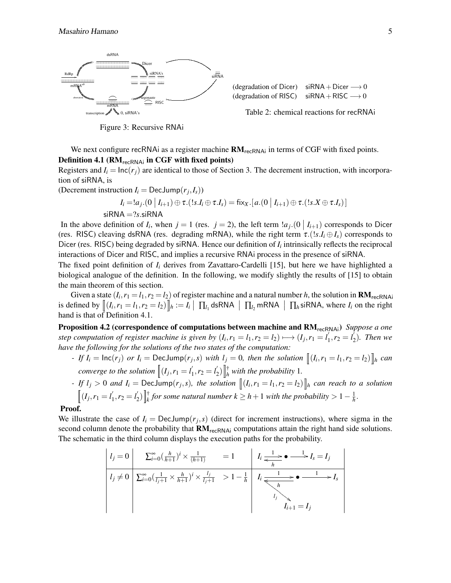

Figure 3: Recursive RNAi

We next configure recRNAi as a register machine  $RM_{recRNAi}$  in terms of CGF with fixed points. Definition 4.1 ( $RM_{recRNAi}$  in CGF with fixed points)

Registers and  $I_i = \ln c(r_i)$  are identical to those of Section 3. The decrement instruction, with incorporation of siRNA, is

(Decrement instruction  $I_i = \text{DecJump}(r_j, I_s)$ )

$$
I_i = !a_j. (0 | I_{i+1}) \oplus \tau. (!s.I_i \oplus \tau.I_s) = fix_x.[a.(0 | I_{i+1}) \oplus \tau. (!s.X \oplus \tau.I_s)]
$$
  
siRNA = ?s.isRNA

In the above definition of  $I_i$ , when  $j = 1$  (res.  $j = 2$ ), the left term  $a_j$ .  $(0 | I_{i+1})$  corresponds to Dicer (res. RISC) cleaving dsRNA (res. degrading mRNA), while the right term  $\tau$ .(*!s.I<sub>i</sub>*  $\oplus$  *I<sub>s</sub>*) corresponds to Dicer (res. RISC) being degraded by siRNA. Hence our definition of  $I_i$  intrinsically reflects the reciprocal interactions of Dicer and RISC, and implies a recursive RNAi process in the presence of siRNA.

The fixed point definition of *I<sup>i</sup>* derives from Zavattaro-Cardelli [15], but here we have highlighted a biological analogue of the definition. In the following, we modify slightly the results of [15] to obtain the main theorem of this section.

Given a state  $(I_i, r_1 = l_1, r_2 = l_2)$  of register machine and a natural number *h*, the solution in  $\mathbf{RM}_{\mathsf{recRNA}}$ is defined by  $[(I_i, r_1 = l_1, r_2 = l_2)]$   $/h := I_i | \prod_{l_1}$  dsRNA  $| \prod_{l_2}$  mRNA  $| \prod_{h}$ siRNA, where  $I_i$  on the right hand is that of Definition 4.1.

Proposition 4.2 (correspondence of computations between machine and RM<sub>recRNAi</sub>) *Suppose a one step computation of register machine is given by*  $(I_i, r_1 = l_1, r_2 = l_2) \longmapsto (I_j, r_1 = l'_1)$  $i'_{1}, r_{2} = l'_{2}$  $y_2'$ ). Then we *have the following for the solutions of the two states of the computation:*

- If  $I_i = \text{Inc}(r_j)$  or  $I_i = \text{DecJump}(r_j, s)$  with  $I_j = 0$ , then the solution  $\|(I_i, r_1 = l_1, r_2 = l_2)\|_h$  can *converge to the solution*  $\left\| \left(I_j, r_1 = I'_1 \right) \right\|$  $i'_{1}, r_{2} = l'_{2}$  $\int_{2}^{7}$ )  $\int_{h}^{4}$  *with the probability* 1.

- If 
$$
l_j > 0
$$
 and  $I_i = \text{DecJump}(r_j, s)$ , the solution  $[(I_i, r_1 = l_1, r_2 = l_2)]_h$  can reach to a solution  $[(I_j, r_1 = l'_1, r_2 = l'_2)]_k^{\dagger}$  for some natural number  $k \geq h + 1$  with the probability  $> 1 - \frac{1}{h}$ .

#### Proof.

We illustrate the case of  $I_i = \text{DecJump}(r_j, s)$  (direct for increment instructions), where sigma in the second column denote the probability that  $RM_{recRNAi}$  computations attain the right hand side solutions. The schematic in the third column displays the execution paths for the probability.

$$
l_j = 0 \n\begin{array}{c|c|c}\nI_j = 0 & \sum_{i=0}^{\infty} \left( \frac{h}{h+1} \right)^i \times \frac{1}{(h+1)} & = 1 & I_i \xrightarrow{\frac{1}{h}} \bullet \xrightarrow{\frac{1}{h}} I_s = I_j \\
\hline\nI_j \neq 0 & \sum_{i=0}^{\infty} \left( \frac{1}{I_j+1} \times \frac{h}{h+1} \right)^i \times \frac{I_j}{I_j+1} & > 1 - \frac{1}{h} & I_i \xrightarrow{\frac{1}{h}} \bullet \xrightarrow{\frac{1}{h}} \bullet \xrightarrow{\frac{1}{h}} I_s \\
\hline\nI_j & \downarrow & I_j & \downarrow \\
I_{j+1} = I_j\n\end{array}
$$